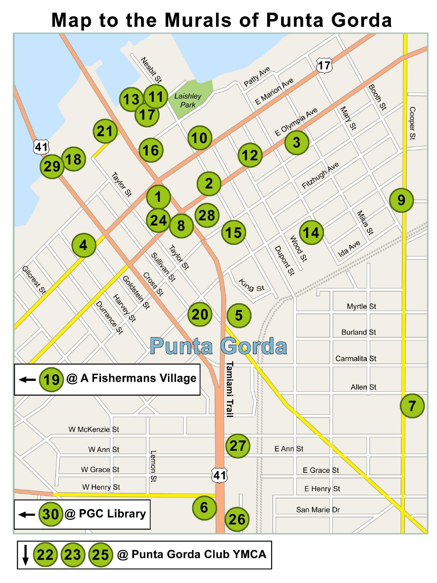## **Map to the Murals of Punta Gorda**



 $25$ @ Punta Gorda Club YMCA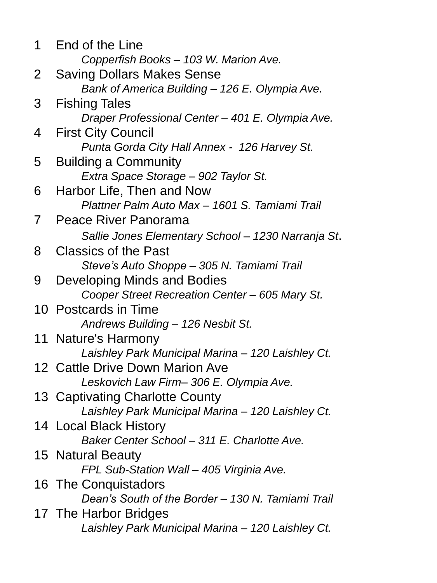1 End of the Line *Copperfish Books – 103 W. Marion Ave.* 2 Saving Dollars Makes Sense *Bank of America Building – 126 E. Olympia Ave.* 3 Fishing Tales *Draper Professional Center – 401 E. Olympia Ave.* 4 First City Council *Punta Gorda City Hall Annex - 126 Harvey St.* 5 Building a Community *Extra Space Storage – 902 Taylor St.* 6 Harbor Life, Then and Now *Plattner Palm Auto Max – 1601 S. Tamiami Trail* 7 Peace River Panorama *Sallie Jones Elementary School – 1230 Narranja St*. 8 Classics of the Past *Steve's Auto Shoppe – 305 N. Tamiami Trail* 9 Developing Minds and Bodies *Cooper Street Recreation Center – 605 Mary St.* 10 Postcards in Time *Andrews Building – 126 Nesbit St.* 11 Nature's Harmony *Laishley Park Municipal Marina – 120 Laishley Ct.* 12 Cattle Drive Down Marion Ave *Leskovich Law Firm– 306 E. Olympia Ave.* 13 Captivating Charlotte County *Laishley Park Municipal Marina – 120 Laishley Ct.* 14 Local Black History *Baker Center School – 311 E. Charlotte Ave.* 15 Natural Beauty *FPL Sub-Station Wall – 405 Virginia Ave.* 16 The Conquistadors *Dean's South of the Border – 130 N. Tamiami Trail* 17 The Harbor Bridges *Laishley Park Municipal Marina – 120 Laishley Ct.*